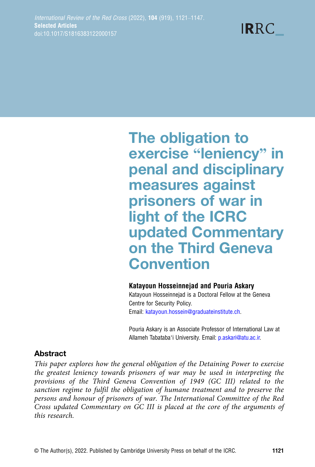**IRRC** 

The obligation to exercise "leniency" in penal and disciplinary measures against prisoners of war in light of the ICRC updated Commentary on the Third Geneva Convention

#### Katayoun Hosseinnejad and Pouria Askary

Katayoun Hosseinnejad is a Doctoral Fellow at the Geneva Centre for Security Policy. Email: [katayoun.hossein@graduateinstitute.ch.](mailto:katayoun.hossein@graduateinstitute.ch)

Pouria Askary is an Associate Professor of International Law at Allameh Tabataba'i University. Email: [p.askari@atu.ac.ir.](mailto:p.askari@atu.ac.ir)

# Abstract

This paper explores how the general obligation of the Detaining Power to exercise the greatest leniency towards prisoners of war may be used in interpreting the provisions of the Third Geneva Convention of 1949 (GC III) related to the sanction regime to fulfil the obligation of humane treatment and to preserve the persons and honour of prisoners of war. The International Committee of the Red Cross updated Commentary on GC III is placed at the core of the arguments of this research.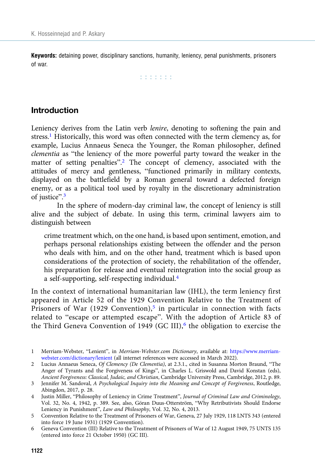Keywords: detaining power, disciplinary sanctions, humanity, leniency, penal punishments, prisoners of war.

r r r r r r r

# Introduction

Leniency derives from the Latin verb lenire, denoting to softening the pain and stress.1 Historically, this word was often connected with the term clemency as, for example, Lucius Annaeus Seneca the Younger, the Roman philosopher, defined clementia as "the leniency of the more powerful party toward the weaker in the matter of setting penalties".<sup>2</sup> The concept of clemency, associated with the attitudes of mercy and gentleness, "functioned primarily in military contexts, displayed on the battlefield by a Roman general toward a defected foreign enemy, or as a political tool used by royalty in the discretionary administration of justice".<sup>3</sup>

In the sphere of modern-day criminal law, the concept of leniency is still alive and the subject of debate. In using this term, criminal lawyers aim to distinguish between

crime treatment which, on the one hand, is based upon sentiment, emotion, and perhaps personal relationships existing between the offender and the person who deals with him, and on the other hand, treatment which is based upon considerations of the protection of society, the rehabilitation of the offender, his preparation for release and eventual reintegration into the social group as a self-supporting, self-respecting individual.4

In the context of international humanitarian law (IHL), the term leniency first appeared in Article 52 of the 1929 Convention Relative to the Treatment of Prisoners of War (1929 Convention),<sup>5</sup> in particular in connection with facts related to "escape or attempted escape". With the adoption of Article 83 of the Third Geneva Convention of 1949 (GC III),<sup>6</sup> the obligation to exercise the

<sup>1</sup> Merriam-Webster, "Lenient", in Merriam-Webster.com Dictionary, available at: [https://www.merriam](https://www.merriam-webster.com/dictionary/lenient)[webster.com/dictionary/lenient](https://www.merriam-webster.com/dictionary/lenient) (all internet references were accessed in March 2022).

<sup>2</sup> Lucius Annaeus Seneca, Of Clemency (De Clementia), at 2.3.1., cited in Susanna Morton Braund, "The Anger of Tyrants and the Forgiveness of Kings", in Charles L. Griswold and David Konstan (eds), Ancient Forgiveness: Classical, Judaic, and Christian, Cambridge University Press, Cambridge, 2012, p. 89.

<sup>3</sup> Jennifer M. Sandoval, A Psychological Inquiry into the Meaning and Concept of Forgiveness, Routledge, Abingdon, 2017, p. 28.

<sup>4</sup> Justin Miller, "Philosophy of Leniency in Crime Treatment", Journal of Criminal Law and Criminology, Vol. 32, No. 4, 1942, p. 389. See, also, Göran Duus-Otterström, "Why Retributivists Should Endorse Leniency in Punishment", Law and Philosophy, Vol. 32, No. 4, 2013.

<sup>5</sup> Convention Relative to the Treatment of Prisoners of War, Geneva, 27 July 1929, 118 LNTS 343 (entered into force 19 June 1931) (1929 Convention).

<sup>6</sup> Geneva Convention (III) Relative to the Treatment of Prisoners of War of 12 August 1949, 75 UNTS 135 (entered into force 21 October 1950) (GC III).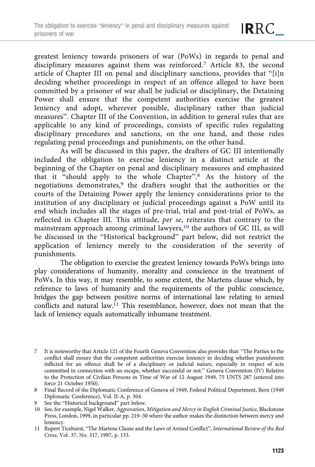greatest leniency towards prisoners of war (PoWs) in regards to penal and disciplinary measures against them was reinforced.<sup>7</sup> Article 83, the second article of Chapter III on penal and disciplinary sanctions, provides that "[i]n deciding whether proceedings in respect of an offence alleged to have been committed by a prisoner of war shall be judicial or disciplinary, the Detaining Power shall ensure that the competent authorities exercise the greatest leniency and adopt, wherever possible, disciplinary rather than judicial measures". Chapter III of the Convention, in addition to general rules that are applicable to any kind of proceedings, consists of specific rules regulating disciplinary procedures and sanctions, on the one hand, and those rules regulating penal proceedings and punishments, on the other hand.

As will be discussed in this paper, the drafters of GC III intentionally included the obligation to exercise leniency in a distinct article at the beginning of the Chapter on penal and disciplinary measures and emphasized that it "should apply to the whole Chapter". <sup>8</sup> As the history of the negotiations demonstrates,<sup>9</sup> the drafters sought that the authorities or the courts of the Detaining Power apply the leniency considerations prior to the institution of any disciplinary or judicial proceedings against a PoW until its end which includes all the stages of pre-trial, trial and post-trial of PoWs, as reflected in Chapter III. This attitude, per se, reiterates that contrary to the mainstream approach among criminal lawyers,<sup>10</sup> the authors of GC III, as will be discussed in the "Historical background" part below, did not restrict the application of leniency merely to the consideration of the severity of punishments.

The obligation to exercise the greatest leniency towards PoWs brings into play considerations of humanity, morality and conscience in the treatment of PoWs. In this way, it may resemble, to some extent, the Martens clause which, by reference to laws of humanity and the requirements of the public conscience, bridges the gap between positive norms of international law relating to armed conflicts and natural law.11 This resemblance, however, does not mean that the lack of leniency equals automatically inhumane treatment.

<sup>7</sup> It is noteworthy that Article 121 of the Fourth Geneva Convention also provides that: "The Parties to the conflict shall ensure that the competent authorities exercise leniency in deciding whether punishment inflicted for an offence shall be of a disciplinary or judicial nature, especially in respect of acts committed in connection with an escape, whether successful or not." Geneva Convention (IV) Relative to the Protection of Civilian Persons in Time of War of 12 August 1949, 75 UNTS 287 (entered into force 21 October 1950).

<sup>8</sup> Final Record of the Diplomatic Conference of Geneva of 1949, Federal Political Department, Bern (1949 Diplomatic Conference), Vol. II-A, p. 304.

<sup>9</sup> See the "Historical background" part below.

<sup>10</sup> See, for example, Nigel Walker, Aggravation, Mitigation and Mercy in English Criminal Justice, Blackstone Press, London, 1999, in particular pp. 219–30 where the author makes the distinction between mercy and leniency.

<sup>11</sup> Rupert Ticehurst, "The Martens Clause and the Laws of Armed Conflict", International Review of the Red Cross, Vol. 37, No. 317, 1997, p. 133.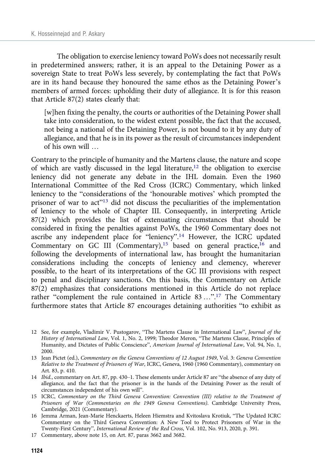The obligation to exercise leniency toward PoWs does not necessarily result in predetermined answers; rather, it is an appeal to the Detaining Power as a sovereign State to treat PoWs less severely, by contemplating the fact that PoWs are in its hand because they honoured the same ethos as the Detaining Power's members of armed forces: upholding their duty of allegiance. It is for this reason that Article 87(2) states clearly that:

[w]hen fixing the penalty, the courts or authorities of the Detaining Power shall take into consideration, to the widest extent possible, the fact that the accused, not being a national of the Detaining Power, is not bound to it by any duty of allegiance, and that he is in its power as the result of circumstances independent of his own will …

Contrary to the principle of humanity and the Martens clause, the nature and scope of which are vastly discussed in the legal literature,<sup>12</sup> the obligation to exercise leniency did not generate any debate in the IHL domain. Even the 1960 International Committee of the Red Cross (ICRC) Commentary, which linked leniency to the "considerations of the 'honourable motives' which prompted the prisoner of war to act"<sup>13</sup> did not discuss the peculiarities of the implementation of leniency to the whole of Chapter III. Consequently, in interpreting Article 87(2) which provides the list of extenuating circumstances that should be considered in fixing the penalties against PoWs, the 1960 Commentary does not ascribe any independent place for "leniency".<sup>14</sup> However, the ICRC updated Commentary on GC III (Commentary),<sup>15</sup> based on general practice,<sup>16</sup> and following the developments of international law, has brought the humanitarian considerations including the concepts of leniency and clemency, wherever possible, to the heart of its interpretations of the GC III provisions with respect to penal and disciplinary sanctions. On this basis, the Commentary on Article 87(2) emphasizes that considerations mentioned in this Article do not replace rather "complement the rule contained in Article 83 ...".<sup>17</sup> The Commentary furthermore states that Article 87 encourages detaining authorities "to exhibit as

- 13 Jean Pictet (ed.), Commentary on the Geneva Conventions of 12 August 1949, Vol. 3: Geneva Convention Relative to the Treatment of Prisoners of War, ICRC, Geneva, 1960 (1960 Commentary), commentary on Art. 83, p. 410.
- 14 Ibid., commentary on Art. 87, pp. 430–1. These elements under Article 87 are "the absence of any duty of allegiance, and the fact that the prisoner is in the hands of the Detaining Power as the result of circumstances independent of his own will".
- 15 ICRC, Commentary on the Third Geneva Convention: Convention (III) relative to the Treatment of Prisoners of War (Commentaries on the 1949 Geneva Conventions). Cambridge University Press, Cambridge, 2021 (Commentary).
- 16 Jemma Arman, Jean-Marie Henckaerts, Heleen Hiemstra and Kvitoslava Krotiuk, "The Updated ICRC Commentary on the Third Geneva Convention: A New Tool to Protect Prisoners of War in the Twenty-First Century", International Review of the Red Cross, Vol. 102, No. 913, 2020, p. 391.
- 17 Commentary, above note 15, on Art. 87, paras 3662 and 3682.

<sup>12</sup> See, for example, Vladimir V. Pustogarov, "The Martens Clause in International Law", Journal of the History of International Law, Vol. 1, No. 2, 1999; Theodor Meron, "The Martens Clause, Principles of Humanity, and Dictates of Public Conscience", American Journal of International Law, Vol. 94, No. 1, 2000.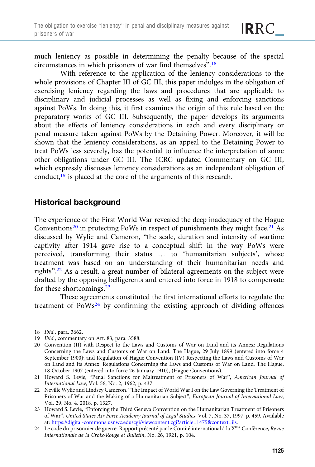much leniency as possible in determining the penalty because of the special circumstances in which prisoners of war find themselves". 18

With reference to the application of the leniency considerations to the whole provisions of Chapter III of GC III, this paper indulges in the obligation of exercising leniency regarding the laws and procedures that are applicable to disciplinary and judicial processes as well as fixing and enforcing sanctions against PoWs. In doing this, it first examines the origin of this rule based on the preparatory works of GC III. Subsequently, the paper develops its arguments about the effects of leniency considerations in each and every disciplinary or penal measure taken against PoWs by the Detaining Power. Moreover, it will be shown that the leniency considerations, as an appeal to the Detaining Power to treat PoWs less severely, has the potential to influence the interpretation of some other obligations under GC III. The ICRC updated Commentary on GC III, which expressly discusses leniency considerations as an independent obligation of conduct,<sup>19</sup> is placed at the core of the arguments of this research.

# Historical background

The experience of the First World War revealed the deep inadequacy of the Hague Conventions<sup>20</sup> in protecting PoWs in respect of punishments they might face.<sup>21</sup> As discussed by Wylie and Cameron, "the scale, duration and intensity of wartime captivity after 1914 gave rise to a conceptual shift in the way PoWs were perceived, transforming their status … to 'humanitarian subjects', whose treatment was based on an understanding of their humanitarian needs and rights".<sup>22</sup> As a result, a great number of bilateral agreements on the subject were drafted by the opposing belligerents and entered into force in 1918 to compensate for these shortcomings.<sup>23</sup>

These agreements constituted the first international efforts to regulate the treatment of  $PoWs<sup>24</sup>$  by confirming the existing approach of dividing offences

<sup>18</sup> Ibid., para. 3662.

<sup>19</sup> Ibid., commentary on Art. 83, para. 3588.

<sup>20</sup> Convention (II) with Respect to the Laws and Customs of War on Land and its Annex: Regulations Concerning the Laws and Customs of War on Land. The Hague, 29 July 1899 (entered into force 4 September 1900); and Regulation of Hague Convention (IV) Respecting the Laws and Customs of War on Land and Its Annex: Regulations Concerning the Laws and Customs of War on Land. The Hague, 18 October 1907 (entered into force 26 January 1910), (Hague Conventions).

<sup>21</sup> Howard S. Levie, "Penal Sanctions for Maltreatment of Prisoners of War", American Journal of International Law, Vol. 56, No. 2, 1962, p. 437.

<sup>22</sup> Neville Wylie and Lindsey Cameron, "The Impact of World War I on the Law Governing the Treatment of Prisoners of War and the Making of a Humanitarian Subject", European Journal of International Law, Vol. 29, No. 4, 2018, p. 1327.

<sup>23</sup> Howard S. Levie, "Enforcing the Third Geneva Convention on the Humanitarian Treatment of Prisoners of War", United States Air Force Academy Journal of Legal Studies, Vol. 7, No. 37, 1997, p. 459. Available at: <https://digital-commons.usnwc.edu/cgi/viewcontent.cgi?article=1475&context=ils>.

<sup>24</sup> Le code du prisonnier de guerre. Rapport présenté par le Comité international à la X<sup>me</sup> Conférence, Revue Internationale de la Croix-Rouge et Bulletin, No. 26, 1921, p. 104.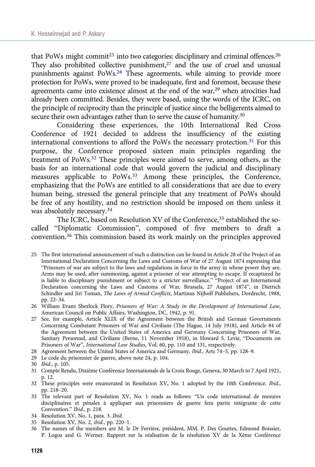that PoWs might commit<sup>25</sup> into two categories: disciplinary and criminal offences.<sup>26</sup> They also prohibited collective punishment, $27$  and the use of cruel and unusual punishments against PoWs.28 These agreements, while aiming to provide more protection for PoWs, were proved to be inadequate, first and foremost, because these agreements came into existence almost at the end of the war, $29$  when atrocities had already been committed. Besides, they were based, using the words of the ICRC, on the principle of reciprocity than the principle of justice since the belligerents aimed to secure their own advantages rather than to serve the cause of humanity.<sup>30</sup>

Considering these experiences, the 10th International Red Cross Conference of 1921 decided to address the insufficiency of the existing international conventions to afford the PoWs the necessary protection.<sup>31</sup> For this purpose, the Conference proposed sixteen main principles regarding the treatment of PoWs.32 These principles were aimed to serve, among others, as the basis for an international code that would govern the judicial and disciplinary measures applicable to PoWs.33 Among these principles, the Conference, emphasizing that the PoWs are entitled to all considerations that are due to every human being, stressed the general principle that any treatment of PoWs should be free of any hostility, and no restriction should be imposed on them unless it was absolutely necessary.<sup>34</sup>

The ICRC, based on Resolution XV of the Conference,<sup>35</sup> established the socalled "Diplomatic Commission", composed of five members to draft a convention.<sup>36</sup> This commission based its work mainly on the principles approved

- 25 The first international announcement of such a distinction can be found in Article 28 of the Project of an International Declaration Concerning the Laws and Customs of War of 27 August 1874 expressing that "Prisoners of war are subject to the laws and regulations in force in the army in whose power they are. Arms may be used, after summoning, against a prisoner of war attempting to escape. If recaptured he is liable to disciplinary punishment or subject to a stricter surveillance." "Project of an International Declaration concerning the Laws and Customs of War, Brussels, 27 August 1874", in Dietrich Schindler and Jiri Toman, The Laws of Armed Conflicts, Martinus Nijhoff Publishers, Dordrecht, 1988, pp. 22–34.
- 26 William Evans Sherlock Flory, Prisoners of War: A Study in the Development of International Law, American Council on Public Affairs, Washington, DC, 1942, p. 91.
- 27 See, for example, Article XLIX of the Agreement between the British and German Governments Concerning Combatant Prisoners of War and Civilians (The Hague, 14 July 1918), and Article 84 of the Agreement between the United States of America and Germany Concerning Prisoners of War, Sanitary Personnel, and Civilians (Berne, 11 November 1918), in Howard S. Levie, "Documents on Prisoners of War", International Law Studies, Vol. 60, pp. 110 and 131, respectively.
- 28 Agreement between the United States of America and Germany, Ibid., Arts 74–5, pp. 128–9.
- 29 Le code du prisonnier de guerre, above note 24, p. 104.
- 30 Ibid., p. 105.
- 31 Compte Rendu, Dixième Conférence Internationale de la Croix Rouge, Geneva, 30 March to 7 April 1921, p. 12.
- 32 These principles were enumerated in Resolution XV, No. 1 adopted by the 10th Conference. Ibid., pp. 218–20.
- 33 The relevant part of Resolution XV, No. 1 reads as follows: "Un code international de mesures disciplinaires et pénales à appliquer aux prisonniers de guerre fera partie intégrante de cette Convention." Ibid., p. 218.
- 34 Resolution XV, No. 1, para. 3. Ibid.
- 35 Resolution XV, No. 2, ibid., pp. 220–1.
- 36 The names of the members are M. le Dr Ferrière, président, MM. P. Des Gouttes, Edmond Boissier, P. Logoz and G. Werner. Rapport sur la réalisation de la résolution XV de la Xème Conférence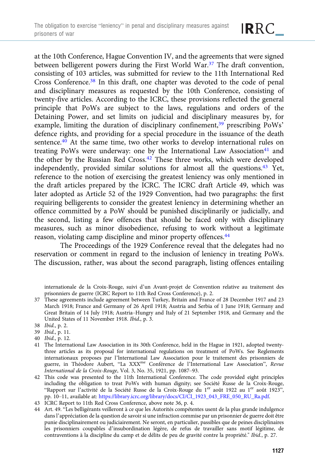at the 10th Conference, Hague Convention IV, and the agreements that were signed between belligerent powers during the First World War.<sup>37</sup> The draft convention, consisting of 103 articles, was submitted for review to the 11th International Red Cross Conference.38 In this draft, one chapter was devoted to the code of penal and disciplinary measures as requested by the 10th Conference, consisting of twenty-five articles. According to the ICRC, these provisions reflected the general principle that PoWs are subject to the laws, regulations and orders of the

IRRC\_

Detaining Power, and set limits on judicial and disciplinary measures by, for example, limiting the duration of disciplinary confinement,<sup>39</sup> prescribing PoWs' defence rights, and providing for a special procedure in the issuance of the death sentence.<sup>40</sup> At the same time, two other works to develop international rules on treating PoWs were underway: one by the International Law Association<sup>41</sup> and the other by the Russian Red Cross.<sup>42</sup> These three works, which were developed independently, provided similar solutions for almost all the questions.<sup>43</sup> Yet, reference to the notion of exercising the greatest leniency was only mentioned in the draft articles prepared by the ICRC. The ICRC draft Article 49, which was later adopted as Article 52 of the 1929 Convention, had two paragraphs: the first requiring belligerents to consider the greatest leniency in determining whether an offence committed by a PoW should be punished disciplinarily or judicially, and the second, listing a few offences that should be faced only with disciplinary measures, such as minor disobedience, refusing to work without a legitimate reason, violating camp discipline and minor property offences.44

The Proceedings of the 1929 Conference reveal that the delegates had no reservation or comment in regard to the inclusion of leniency in treating PoWs. The discussion, rather, was about the second paragraph, listing offences entailing

internationale de la Croix-Rouge, suivi d'un Avant-projet de Convention relative au traitement des prisonniers de guerre (ICRC Report to 11th Red Cross Conference), p. 2.

37 These agreements include agreement between Turkey, Britain and France of 28 December 1917 and 23 March 1918; France and Germany of 26 April 1918; Austria and Serbia of 1 June 1918; Germany and Great Britain of 14 July 1918; Austria–Hungry and Italy of 21 September 1918, and Germany and the United States of 11 November 1918. Ibid., p. 3.

- 39 Ibid., p. 11.
- 40 Ibid., p. 12.
- 41 The International Law Association in its 30th Conference, held in the Hague in 1921, adopted twentythree articles as its proposal for international regulations on treatment of PoWs. See Reglements internationaux proposes par l'lnternational Law Association pour le traitement des prisonniers de guerre, in Théodore Aubert, "La XXX<sup>me</sup> Conférence de l'International Law Association", Revue International de la Croix-Rouge, Vol. 3, No. 35, 1921, pp. 1087–93.
- 42 This code was presented to the 11th International Conference. The code provided eight principles including the obligation to treat PoWs with human dignity; see Société Russe de la Croix-Rouge, "Rapport sur l'activité de la Société Russe de la Croix-Rouge du 1er août 1922 au 1er août 1923", pp. 10–11, available at: [https://library.icrc.org/library/docs/CI/CI\\_1923\\_043\\_FRE\\_050\\_RU\\_Ra.pdf](https://library.icrc.org/library/docs/CI/CI_1923_043_FRE_050_RU_Ra.pdf).
- 43 ICRC Report to 11th Red Cross Conference, above note 36, p. 4.
- 44 Art. 49. "Les belligérants veilleront à ce que les Autorités compétentes usent de la plus grande indulgence dans l'appréciation de la question de savoir si une infraction commise par un prisonnier de guerre doit être punie disciplinairement ou judiciairement. Ne seront, en particulier, passibles que de peines disciplinaires les prisonniers coupables d'insubordination légère, de refus de travailler sans motif légitime, de contraventions à la discipline du camp et de délits de peu de gravité contre la propriété." Ibid., p. 27.

<sup>38</sup> Ibid., p. 2.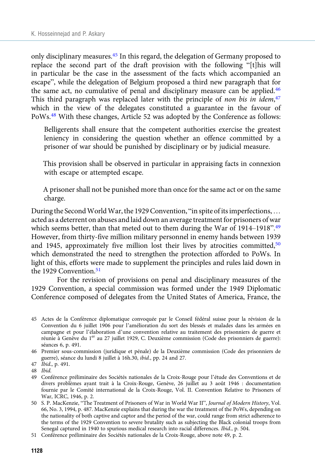only disciplinary measures.45 In this regard, the delegation of Germany proposed to replace the second part of the draft provision with the following "[t]his will in particular be the case in the assessment of the facts which accompanied an escape", while the delegation of Belgium proposed a third new paragraph that for the same act, no cumulative of penal and disciplinary measure can be applied.<sup>46</sup> This third paragraph was replaced later with the principle of non bis in idem,<sup>47</sup> which in the view of the delegates constituted a guarantee in the favour of PoWs.48 With these changes, Article 52 was adopted by the Conference as follows:

Belligerents shall ensure that the competent authorities exercise the greatest leniency in considering the question whether an offence committed by a prisoner of war should be punished by disciplinary or by judicial measure.

This provision shall be observed in particular in appraising facts in connexion with escape or attempted escape.

A prisoner shall not be punished more than once for the same act or on the same charge.

During the Second World War, the 1929 Convention, "in spite of its imperfections, ... acted as a deterrent on abuses and laid down an average treatment for prisoners of war which seems better, than that meted out to them during the War of 1914–1918".<sup>49</sup> However, from thirty-five million military personnel in enemy hands between 1939 and 1945, approximately five million lost their lives by atrocities committed, $50$ which demonstrated the need to strengthen the protection afforded to PoWs. In light of this, efforts were made to supplement the principles and rules laid down in the 1929 Convention.<sup>51</sup>

For the revision of provisions on penal and disciplinary measures of the 1929 Convention, a special commission was formed under the 1949 Diplomatic Conference composed of delegates from the United States of America, France, the

<sup>45</sup> Actes de la Conférence diplomatique convoquée par le Conseil fédéral suisse pour la révision de la Convention du 6 juillet 1906 pour l'amélioration du sort des blessés et malades dans les armées en campagne et pour l'élaboration d'une convention relative au traitement des prisonniers de guerre et réunie à Genève du 1<sup>er</sup> au 27 juillet 1929, C. Deuxième commission (Code des prisonniers de guerre): séances 6, p. 491.

<sup>46</sup> Premier sous-commission (juridique et pénale) de la Deuxième commission (Code des prisonniers de guerre), séance du lundi 8 juillet à 16h.30, ibid., pp. 24 and 27.

guerre), seam<br>47 *Ibid.*, p. 491.

<sup>48</sup> Ibid.

<sup>49</sup> Conférence préliminaire des Sociétés nationales de la Croix-Rouge pour l'étude des Conventions et de divers problèmes ayant trait à la Croix-Rouge, Genève, 26 juillet au 3 août 1946 : documentation fournie par le Comité international de la Croix-Rouge, Vol. II. Convention Relative to Prisoners of War, ICRC, 1946, p. 2.

<sup>50</sup> S. P. MacKenzie, "The Treatment of Prisoners of War in World War II", Journal of Modern History, Vol. 66, No. 3, 1994, p. 487. MacKenzie explains that during the war the treatment of the PoWs, depending on the nationality of both captive and captor and the period of the war, could range from strict adherence to the terms of the 1929 Convention to severe brutality such as subjecting the Black colonial troops from Senegal captured in 1940 to spurious medical research into racial differences. Ibid., p. 504.

<sup>51</sup> Conférence préliminaire des Sociétés nationales de la Croix-Rouge, above note 49, p. 2.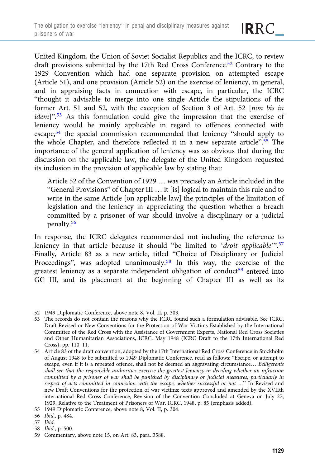United Kingdom, the Union of Soviet Socialist Republics and the ICRC, to review draft provisions submitted by the 17th Red Cross Conference.<sup>52</sup> Contrary to the 1929 Convention which had one separate provision on attempted escape (Article 51), and one provision (Article 52) on the exercise of leniency, in general, and in appraising facts in connection with escape, in particular, the ICRC "thought it advisable to merge into one single Article the stipulations of the former Art. 51 and 52, with the exception of Section 3 of Art. 52 [non bis in idem]".<sup>53</sup> As this formulation could give the impression that the exercise of leniency would be mainly applicable in regard to offences connected with escape,54 the special commission recommended that leniency "should apply to the whole Chapter, and therefore reflected it in a new separate article".<sup>55</sup> The importance of the general application of leniency was so obvious that during the discussion on the applicable law, the delegate of the United Kingdom requested its inclusion in the provision of applicable law by stating that:

Article 52 of the Convention of 1929 … was precisely an Article included in the "General Provisions" of Chapter III … it [is] logical to maintain this rule and to write in the same Article [on applicable law] the principles of the limitation of legislation and the leniency in appreciating the question whether a breach committed by a prisoner of war should involve a disciplinary or a judicial penalty.<sup>56</sup>

In response, the ICRC delegates recommended not including the reference to leniency in that article because it should "be limited to 'droit applicable".<sup>57</sup> Finally, Article 83 as a new article, titled "Choice of Disciplinary or Judicial Proceedings", was adopted unanimously.<sup>58</sup> In this way, the exercise of the greatest leniency as a separate independent obligation of conduct<sup>59</sup> entered into GC III, and its placement at the beginning of Chapter III as well as its

- 53 The records do not contain the reasons why the ICRC found such a formulation advisable. See ICRC, Draft Revised or New Conventions for the Protection of War Victims Established by the International Committee of the Red Cross with the Assistance of Government Experts, National Red Cross Societies and Other Humanitarian Associations, ICRC, May 1948 (ICRC Draft to the 17th International Red Cross), pp. 110–11.
- 54 Article 83 of the draft convention, adopted by the 17th International Red Cross Conference in Stockholm of August 1948 to be submitted to 1949 Diplomatic Conference, read as follows: "Escape, or attempt to escape, even if it is a repeated offence, shall not be deemed an aggravating circumstance… Belligerents shall see that the responsible authorities exercise the greatest leniency in deciding whether an infraction committed by a prisoner of war shall be punished by disciplinary or judicial measures, particularly in respect of acts committed in connexion with the escape, whether successful or not …" In Revised and new Draft Conventions for the protection of war victims: texts approved and amended by the XVIIth international Red Cross Conference, Revision of the Convention Concluded at Geneva on July 27, 1929, Relative to the Treatment of Prisoners of War, ICRC, 1948, p. 85 (emphasis added).

- 56 Ibid., p. 484.
- 57 Ibid.
- 58 Ibid., p. 500.
- 59 Commentary, above note 15, on Art. 83, para. 3588.

<sup>52 1949</sup> Diplomatic Conference, above note 8, Vol. II, p. 303.

<sup>55 1949</sup> Diplomatic Conference, above note 8, Vol. II, p. 304.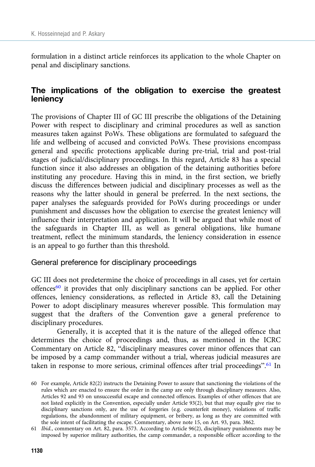formulation in a distinct article reinforces its application to the whole Chapter on penal and disciplinary sanctions.

# The implications of the obligation to exercise the greatest leniency

The provisions of Chapter III of GC III prescribe the obligations of the Detaining Power with respect to disciplinary and criminal procedures as well as sanction measures taken against PoWs. These obligations are formulated to safeguard the life and wellbeing of accused and convicted PoWs. These provisions encompass general and specific protections applicable during pre-trial, trial and post-trial stages of judicial/disciplinary proceedings. In this regard, Article 83 has a special function since it also addresses an obligation of the detaining authorities before instituting any procedure. Having this in mind, in the first section, we briefly discuss the differences between judicial and disciplinary processes as well as the reasons why the latter should in general be preferred. In the next sections, the paper analyses the safeguards provided for PoWs during proceedings or under punishment and discusses how the obligation to exercise the greatest leniency will influence their interpretation and application. It will be argued that while most of the safeguards in Chapter III, as well as general obligations, like humane treatment, reflect the minimum standards, the leniency consideration in essence is an appeal to go further than this threshold.

#### General preference for disciplinary proceedings

GC III does not predetermine the choice of proceedings in all cases, yet for certain offences $^{60}$  it provides that only disciplinary sanctions can be applied. For other offences, leniency considerations, as reflected in Article 83, call the Detaining Power to adopt disciplinary measures wherever possible. This formulation may suggest that the drafters of the Convention gave a general preference to disciplinary procedures.

Generally, it is accepted that it is the nature of the alleged offence that determines the choice of proceedings and, thus, as mentioned in the ICRC Commentary on Article 82, "disciplinary measures cover minor offences that can be imposed by a camp commander without a trial, whereas judicial measures are taken in response to more serious, criminal offences after trial proceedings".<sup>61</sup> In

<sup>60</sup> For example, Article 82(2) instructs the Detaining Power to assure that sanctioning the violations of the rules which are enacted to ensure the order in the camp are only through disciplinary measures. Also, Articles 92 and 93 on unsuccessful escape and connected offences. Examples of other offences that are not listed explicitly in the Convention, especially under Article 93(2), but that may equally give rise to disciplinary sanctions only, are the use of forgeries (e.g. counterfeit money), violations of traffic regulations, the abandonment of military equipment, or bribery, as long as they are committed with the sole intent of facilitating the escape. Commentary, above note 15, on Art. 93, para. 3862.

<sup>61</sup> Ibid., commentary on Art. 82, para. 3573. According to Article 96(2), disciplinary punishments may be imposed by superior military authorities, the camp commander, a responsible officer according to the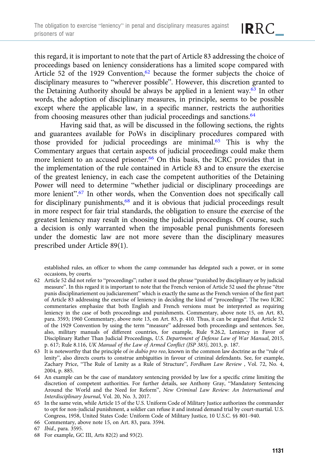this regard, it is important to note that the part of Article 83 addressing the choice of proceedings based on leniency considerations has a limited scope compared with Article 52 of the 1929 Convention,<sup>62</sup> because the former subjects the choice of disciplinary measures to "wherever possible". However, this discretion granted to the Detaining Authority should be always be applied in a lenient way.<sup>63</sup> In other words, the adoption of disciplinary measures, in principle, seems to be possible except where the applicable law, in a specific manner, restricts the authorities from choosing measures other than judicial proceedings and sanctions.<sup>64</sup>

Having said that, as will be discussed in the following sections, the rights and guarantees available for PoWs in disciplinary procedures compared with those provided for judicial proceedings are minimal.65 This is why the Commentary argues that certain aspects of judicial proceedings could make them more lenient to an accused prisoner.<sup>66</sup> On this basis, the ICRC provides that in the implementation of the rule contained in Article 83 and to ensure the exercise of the greatest leniency, in each case the competent authorities of the Detaining Power will need to determine "whether judicial or disciplinary proceedings are more lenient".<sup>67</sup> In other words, when the Convention does not specifically call for disciplinary punishments,<sup>68</sup> and it is obvious that judicial proceedings result in more respect for fair trial standards, the obligation to ensure the exercise of the greatest leniency may result in choosing the judicial proceedings. Of course, such a decision is only warranted when the imposable penal punishments foreseen under the domestic law are not more severe than the disciplinary measures prescribed under Article 89(1).

established rules, an officer to whom the camp commander has delegated such a power, or in some occasions, by courts.

- 62 Article 52 did not refer to "proceedings"; rather it used the phrase "punished by disciplinary or by judicial measure". In this regard it is important to note that the French version of Article 52 used the phrase "être punis disciplinariement ou judiciarement" which is exactly the same as the French version of the first part of Article 83 addressing the exercise of leniency in deciding the kind of "proceedings". The two ICRC commentaries emphasize that both English and French versions must be interpreted as requiring leniency in the case of both proceedings and punishments. Commentary, above note 15, on Art. 83, para. 3593; 1960 Commentary, above note 13, on Art. 83, p. 410. Thus, it can be argued that Article 52 of the 1929 Convention by using the term "measure" addressed both proceedings and sentences. See, also, military manuals of different countries, for example, Rule 9.26.2, Leniency in Favor of Disciplinary Rather Than Judicial Proceedings, U.S. Department of Defense Law of War Manual, 2015, p. 617; Rule 8.116, UK Manual of the Law of Armed Conflict (JSP 383), 2013, p. 187.
- 63 It is noteworthy that the principle of in dubio pro reo, known in the common law doctrine as the "rule of lenity", also directs courts to construe ambiguities in favour of criminal defendants. See, for example, Zachary Price, "The Rule of Lenity as a Rule of Structure", Fordham Law Review , Vol. 72, No. 4, 2004, p. 885.
- 64 An example can be the case of mandatory sentencing provided by law for a specific crime limiting the discretion of competent authorities. For further details, see Anthony Gray, "Mandatory Sentencing Around the World and the Need for Reform", New Criminal Law Review: An International and Interdisciplinary Journal, Vol. 20, No. 3, 2017.
- 65 In the same vein, while Article 15 of the U.S. Uniform Code of Military Justice authorizes the commander to opt for non-judicial punishment, a soldier can refuse it and instead demand trial by court-martial. U.S. Congress, 1958, United States Code: Uniform Code of Military Justice, 10 U.S.C. §§ 801–940.
- 66 Commentary, above note 15, on Art. 83, para. 3594.
- 67 Ibid., para. 3595.
- 68 For example, GC III, Arts 82(2) and 93(2).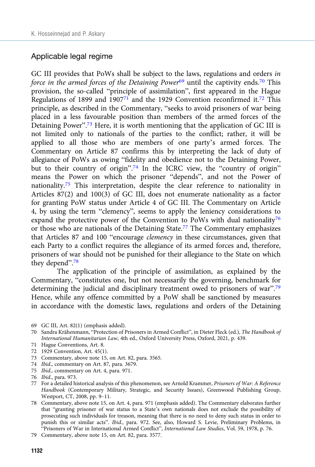#### Applicable legal regime

GC III provides that PoWs shall be subject to the laws, regulations and orders in force in the armed forces of the Detaining Power $69$  until the captivity ends.<sup>70</sup> This provision, the so-called "principle of assimilation", first appeared in the Hague Regulations of 1899 and  $1907^{71}$  and the 1929 Convention reconfirmed it.<sup>72</sup> This principle, as described in the Commentary, "seeks to avoid prisoners of war being placed in a less favourable position than members of the armed forces of the Detaining Power".<sup>73</sup> Here, it is worth mentioning that the application of GC III is not limited only to nationals of the parties to the conflict; rather, it will be applied to all those who are members of one party's armed forces. The Commentary on Article 87 confirms this by interpreting the lack of duty of allegiance of PoWs as owing "fidelity and obedience not to the Detaining Power, but to their country of origin".<sup>74</sup> In the ICRC view, the "country of origin" means the Power on which the prisoner "depends", and not the Power of nationality.75 This interpretation, despite the clear reference to nationality in Articles 87(2) and 100(3) of GC III, does not enumerate nationality as a factor for granting PoW status under Article 4 of GC III. The Commentary on Article 4, by using the term "clemency", seems to apply the leniency considerations to expand the protective power of the Convention to PoWs with dual nationality<sup>76</sup> or those who are nationals of the Detaining State.77 The Commentary emphasizes that Articles 87 and 100 "encourage clemency in these circumstances, given that each Party to a conflict requires the allegiance of its armed forces and, therefore, prisoners of war should not be punished for their allegiance to the State on which they depend".<sup>78</sup>

The application of the principle of assimilation, as explained by the Commentary, "constitutes one, but not necessarily the governing, benchmark for determining the judicial and disciplinary treatment owed to prisoners of war".<sup>79</sup> Hence, while any offence committed by a PoW shall be sanctioned by measures in accordance with the domestic laws, regulations and orders of the Detaining

- 69 GC III, Art. 82(1) (emphasis added).
- 70 Sandra Krähenmann, "Protection of Prisoners in Armed Conflict", in Dieter Fleck (ed.), The Handbook of International Humanitarian Law, 4th ed., Oxford University Press, Oxford, 2021, p. 439.
- 71 Hague Conventions, Art. 8.
- 72 1929 Convention, Art. 45(1).
- 73 Commentary, above note 15, on Art. 82, para. 3565.
- 74 Ibid., commentary on Art. 87, para. 3679.
- 75 Ibid., commentary on Art. 4, para. 971.
- 76 Ibid., para. 973.
- 77 For a detailed historical analysis of this phenomenon, see Arnold Krammer, Prisoners of War: A Reference Handbook (Contemporary Military, Strategic, and Security Issues), Greenwood Publishing Group, Westport, CT, 2008, pp. 9–11.
- 78 Commentary, above note 15, on Art. 4, para. 971 (emphasis added). The Commentary elaborates further that "granting prisoner of war status to a State's own nationals does not exclude the possibility of prosecuting such individuals for treason, meaning that there is no need to deny such status in order to punish this or similar acts". Ibid., para. 972. See, also, Howard S. Levie, Preliminary Problems, in "Prisoners of War in International Armed Conflict", International Law Studies, Vol. 59, 1978, p. 76.
- 79 Commentary, above note 15, on Art. 82, para. 3577.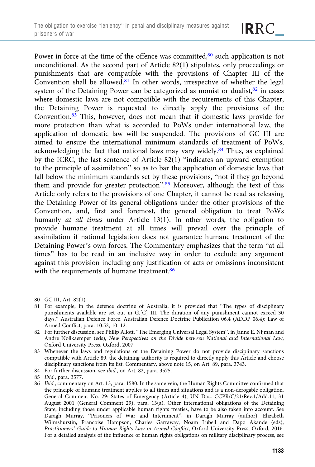IRRC\_

Power in force at the time of the offence was committed, $80$  such application is not unconditional. As the second part of Article 82(1) stipulates, only proceedings or punishments that are compatible with the provisions of Chapter III of the Convention shall be allowed.<sup>81</sup> In other words, irrespective of whether the legal system of the Detaining Power can be categorized as monist or dualist, $82$  in cases where domestic laws are not compatible with the requirements of this Chapter, the Detaining Power is requested to directly apply the provisions of the Convention.83 This, however, does not mean that if domestic laws provide for more protection than what is accorded to PoWs under international law, the application of domestic law will be suspended. The provisions of GC III are aimed to ensure the international minimum standards of treatment of PoWs, acknowledging the fact that national laws may vary widely.84 Thus, as explained by the ICRC, the last sentence of Article 82(1) "indicates an upward exemption to the principle of assimilation" so as to bar the application of domestic laws that fall below the minimum standards set by these provisions, "not if they go beyond them and provide for greater protection".<sup>85</sup> Moreover, although the text of this Article only refers to the provisions of one Chapter, it cannot be read as releasing the Detaining Power of its general obligations under the other provisions of the Convention, and, first and foremost, the general obligation to treat PoWs humanly at all times under Article 13(1). In other words, the obligation to provide humane treatment at all times will prevail over the principle of assimilation if national legislation does not guarantee humane treatment of the Detaining Power's own forces. The Commentary emphasizes that the term "at all times" has to be read in an inclusive way in order to exclude any argument against this provision including any justification of acts or omissions inconsistent with the requirements of humane treatment.<sup>86</sup>

- 80 GC III, Art. 82(1).
- 81 For example, in the defence doctrine of Australia, it is provided that "The types of disciplinary punishments available are set out in G.[C] III. The duration of any punishment cannot exceed 30 days." Australian Defence Force, Australian Defence Doctrine Publication 06.4 (ADDP 06.4): Law of Armed Conflict, para. 10.52, 10–12.
- 82 For further discussion, see Philip Allott, "The Emerging Universal Legal System", in Janne E. Nijman and André Nollkaemper (eds), New Perspectives on the Divide between National and International Law, Oxford University Press, Oxford, 2007.
- 83 Whenever the laws and regulations of the Detaining Power do not provide disciplinary sanctions compatible with Article 89, the detaining authority is required to directly apply this Article and choose disciplinary sanctions from its list. Commentary, above note 15, on Art. 89, para. 3743.
- 84 For further discussion, see ibid., on Art. 82, para. 3575.
- 85 Ibid., para. 3577.
- 86 Ibid., commentary on Art. 13, para. 1580. In the same vein, the Human Rights Committee confirmed that the principle of humane treatment applies to all times and situations and is a non-derogable obligation. General Comment No. 29: States of Emergency (Article 4), UN Doc. CCPR/C/21/Rev.1/Add.11, 31 August 2001 (General Comment 29), para. 13(a). Other international obligations of the Detaining State, including those under applicable human rights treaties, have to be also taken into account. See Daragh Murray, "Prisoners of War and Internment", in Daragh Murray (author), Elizabeth Wilmshurstin, Francoise Hampson, Charles Garraway, Noam Lubell and Dapo Akande (eds), Practitioners' Guide to Human Rights Law in Armed Conflict, Oxford University Press, Oxford, 2016. For a detailed analysis of the influence of human rights obligations on military disciplinary process, see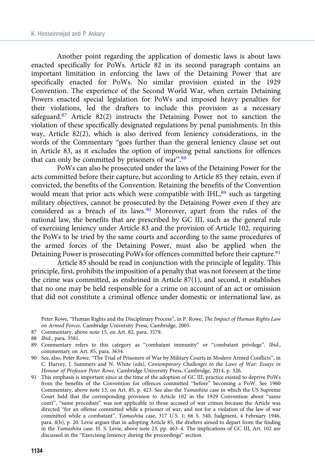Another point regarding the application of domestic laws is about laws enacted specifically for PoWs. Article 82 in its second paragraph contains an important limitation in enforcing the laws of the Detaining Power that are specifically enacted for PoWs. No similar provision existed in the 1929 Convention. The experience of the Second World War, when certain Detaining Powers enacted special legislation for PoWs and imposed heavy penalties for their violations, led the drafters to include this provision as a necessary safeguard.<sup>87</sup> Article 82(2) instructs the Detaining Power not to sanction the violation of these specifically designated regulations by penal punishments. In this way, Article 82(2), which is also derived from leniency considerations, in the words of the Commentary "goes further than the general leniency clause set out in Article 83, as it excludes the option of imposing penal sanctions for offences that can only be committed by prisoners of war".<sup>88</sup>

PoWs can also be prosecuted under the laws of the Detaining Power for the acts committed before their capture, but according to Article 85 they retain, even if convicted, the benefits of the Convention. Retaining the benefits of the Convention would mean that prior acts which were compatible with IHL,<sup>89</sup> such as targeting military objectives, cannot be prosecuted by the Detaining Power even if they are considered as a breach of its laws.<sup>90</sup> Moreover, apart from the rules of the national law, the benefits that are prescribed by GC III, such as the general rule of exercising leniency under Article 83 and the provision of Article 102, requiring the PoWs to be tried by the same courts and according to the same procedures of the armed forces of the Detaining Power, must also be applied when the Detaining Power is prosecuting PoWs for offences committed before their capture.<sup>91</sup>

Article 85 should be read in conjunction with the principle of legality. This principle, first, prohibits the imposition of a penalty that was not foreseen at the time the crime was committed, as enshrined in Article 87(1), and second, it establishes that no one may be held responsible for a crime on account of an act or omission that did not constitute a criminal offence under domestic or international law, as

- 87 Commentary, above note 15, on Art. 82, para. 3579.
- 88 Ibid., para. 3581.

- 90 See, also, Peter Rowe, "The Trial of Prisoners of War by Military Courts in Modern Armed Conflicts", in C. Harvey, J. Summers and N. White (eds), Contemporary Challenges to the Laws of War: Essays in Honour of Professor Peter Rowe, Cambridge University Press, Cambridge, 2014, p. 326.
- 91 This emphasis is important since at the time of the adoption of GC III, practice existed to deprive PoWs from the benefits of the Convention for offences committed "before" becoming a PoW. See 1960 Commentary, above note 13, on Art. 85, p. 423. See also the Yamashita case in which the US Supreme Court held that the corresponding provision to Article 102 in the 1929 Convention about "same court", "same procedure" was not applicable to those accused of war crimes because the Article was directed "for an offense committed while a prisoner of war, and not for a violation of the law of war committed while a combatant". Yamashita case, 317 U.S. 1; 66 S. 340, Judgment, 4 February 1946, para. 4(b), p. 20. Levie argues that in adopting Article 85, the drafters aimed to depart from the finding in the Yamashita case. H. S. Levie, above note 23, pp. 463–4. The implications of GC III, Art. 102 are discussed in the "Exercising leniency during the proceedings" section.

Peter Rowe, "Human Rights and the Disciplinary Process", in P. Rowe, The Impact of Human Rights Law on Armed Forces, Cambridge University Press, Cambridge, 2005.

<sup>89</sup> Commentary refers to this category as "combatant immunity" or "combatant privilege". Ibid., commentary on Art. 85, para. 3634.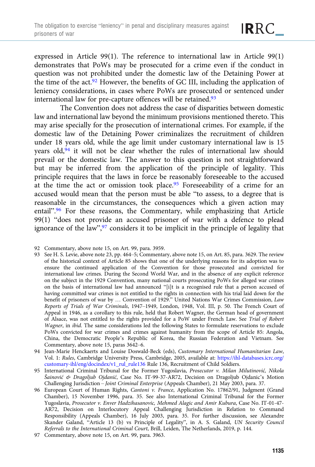expressed in Article 99(1). The reference to international law in Article 99(1) demonstrates that PoWs may be prosecuted for a crime even if the conduct in question was not prohibited under the domestic law of the Detaining Power at the time of the  $act.^{92}$  However, the benefits of GC III, including the application of leniency considerations, in cases where PoWs are prosecuted or sentenced under international law for pre-capture offences will be retained.<sup>93</sup>

The Convention does not address the case of disparities between domestic law and international law beyond the minimum provisions mentioned thereto. This may arise specially for the prosecution of international crimes. For example, if the domestic law of the Detaining Power criminalizes the recruitment of children under 18 years old, while the age limit under customary international law is 15 years old,<sup>94</sup> it will not be clear whether the rules of international law should prevail or the domestic law. The answer to this question is not straightforward but may be inferred from the application of the principle of legality. This principle requires that the laws in force be reasonably foreseeable to the accused at the time the act or omission took place.<sup>95</sup> Foreseeability of a crime for an accused would mean that the person must be able "to assess, to a degree that is reasonable in the circumstances, the consequences which a given action may entail".<sup>96</sup> For these reasons, the Commentary, while emphasizing that Article 99(1) "does not provide an accused prisoner of war with a defence to plead ignorance of the law",<sup>97</sup> considers it to be implicit in the principle of legality that

- 93 See H. S. Levie, above note 23, pp. 464–5; Commentary, above note 15, on Art. 85, para. 3629. The review of the historical context of Article 85 shows that one of the underlying reasons for its adoption was to ensure the continued application of the Convention for those prosecuted and convicted for international law crimes. During the Second World War, and in the absence of any explicit reference on the subject in the 1929 Convention, many national courts prosecuting PoWs for alleged war crimes on the basis of international law had announced "[i]t is a recognised rule that a person accused of having committed war crimes is not entitled to the rights in connection with his trial laid down for the benefit of prisoners of war by … Convention of 1929." United Nations War Crimes Commission, Law Reports of Trials of War Criminals, 1947–1949, London, 1948, Vol. III, p. 50. The French Court of Appeal in 1946, as a corollary to this rule, held that Robert Wagner, the German head of government of Alsace, was not entitled to the rights provided for a PoW under French Law. See Trial of Robert Wagner, in ibid. The same considerations led the following States to formulate reservations to exclude PoWs convicted for war crimes and crimes against humanity from the scope of Article 85: Angola, China, the Democratic People's Republic of Korea, the Russian Federation and Vietnam. See Commentary, above note 15, paras 3642–6.
- 94 Jean-Marie Henckaerts and Louise Doswald-Beck (eds), Customary International Humanitarian Law, Vol. 1: Rules, Cambridge University Press, Cambridge, 2005, available at: [https://ihl-databases.icrc.org/](https://ihl-databases.icrc.org/customary-ihl/eng/docindex/v1_rul_rule136) [customary-ihl/eng/docindex/v1\\_rul\\_rule136](https://ihl-databases.icrc.org/customary-ihl/eng/docindex/v1_rul_rule136) Rule 136, Recruitment of Child Soldiers.

95 International Criminal Tribunal for the Former Yugoslavia, Prosecutor v. Milan Milutinović, Nikola Šainović & Dragoljub Ojdanić, Case No. IT-99-37-AR72, Decision on Dragoljub Ojdanic's Motion Challenging Jurisdiction – Joint Criminal Enterprise (Appeals Chamber), 21 May 2003, para. 37.

- 96 European Court of Human Rights, Cantoni v. France, Application No. 17862/91, Judgment (Grand Chamber), 15 November 1996, para. 35. See also International Criminal Tribunal for the Former Yugoslavia, Prosecutor v. Enver Hadzihasanovic, Mehmed Alagic and Amir Kubura, Case No. IT-01-47- AR72, Decision on Interlocutory Appeal Challenging Jurisdiction in Relation to Command Responsibility (Appeals Chamber), 16 July 2003, para. 35. For further discussion, see Alexandre Skander Galand, "Article 13 (b) vs Principle of Legality", in A. S. Galand, UN Security Council Referrals to the International Criminal Court, Brill, Leiden, The Netherlands, 2019, p. 144.
- 97 Commentary, above note 15, on Art. 99, para. 3963.

<sup>92</sup> Commentary, above note 15, on Art. 99, para. 3959.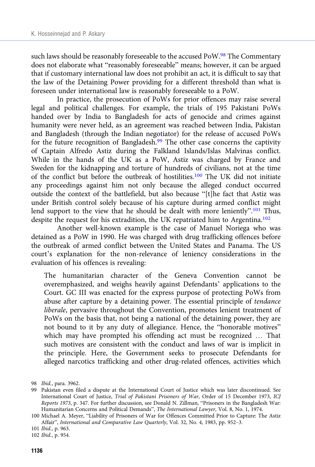such laws should be reasonably foreseeable to the accused PoW.<sup>98</sup> The Commentary does not elaborate what "reasonably foreseeable" means; however, it can be argued that if customary international law does not prohibit an act, it is difficult to say that the law of the Detaining Power providing for a different threshold than what is foreseen under international law is reasonably foreseeable to a PoW.

In practice, the prosecution of PoWs for prior offences may raise several legal and political challenges. For example, the trials of 195 Pakistani PoWs handed over by India to Bangladesh for acts of genocide and crimes against humanity were never held, as an agreement was reached between India, Pakistan and Bangladesh (through the Indian negotiator) for the release of accused PoWs for the future recognition of Bangladesh.<sup>99</sup> The other case concerns the captivity of Captain Alfredo Astiz during the Falkland Islands/Islas Malvinas conflict. While in the hands of the UK as a PoW, Astiz was charged by France and Sweden for the kidnapping and torture of hundreds of civilians, not at the time of the conflict but before the outbreak of hostilities.100 The UK did not initiate any proceedings against him not only because the alleged conduct occurred outside the context of the battlefield, but also because "[t]he fact that Astiz was under British control solely because of his capture during armed conflict might lend support to the view that he should be dealt with more leniently".<sup>101</sup> Thus, despite the request for his extradition, the UK repatriated him to Argentina.<sup>102</sup>

Another well-known example is the case of Manuel Noriega who was detained as a PoW in 1990. He was charged with drug trafficking offences before the outbreak of armed conflict between the United States and Panama. The US court's explanation for the non-relevance of leniency considerations in the evaluation of his offences is revealing:

The humanitarian character of the Geneva Convention cannot be overemphasized, and weighs heavily against Defendants' applications to the Court. GC III was enacted for the express purpose of protecting PoWs from abuse after capture by a detaining power. The essential principle of tendance liberale, pervasive throughout the Convention, promotes lenient treatment of PoWs on the basis that, not being a national of the detaining power, they are not bound to it by any duty of allegiance. Hence, the "honorable motives" which may have prompted his offending act must be recognized … That such motives are consistent with the conduct and laws of war is implicit in the principle. Here, the Government seeks to prosecute Defendants for alleged narcotics trafficking and other drug-related offences, activities which

<sup>98</sup> Ibid., para. 3962.

<sup>99</sup> Pakistan even filed a dispute at the International Court of Justice which was later discontinued. See International Court of Justice, Trial of Pakistani Prisoners of War, Order of 15 December 1973, ICJ Reports 1973, p. 347. For further discussion, see Donald N. Zillman, "Prisoners in the Bangladesh War: Humanitarian Concerns and Political Demands", The International Lawyer, Vol. 8, No. 1, 1974.

<sup>100</sup> Michael A. Meyer, "Liability of Prisoners of War for Offences Committed Prior to Capture: The Astiz Affair", International and Comparative Law Quarterly, Vol. 32, No. 4, 1983, pp. 952–3.

<sup>101</sup> Ibid., p. 963.

<sup>102</sup> Ibid., p. 954.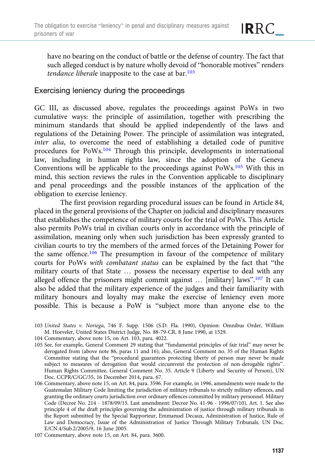have no bearing on the conduct of battle or the defense of country. The fact that such alleged conduct is by nature wholly devoid of "honorable motives" renders tendance liberale inapposite to the case at  $bar^{103}$ 

## Exercising leniency during the proceedings

GC III, as discussed above, regulates the proceedings against PoWs in two cumulative ways: the principle of assimilation, together with prescribing the minimum standards that should be applied independently of the laws and regulations of the Detaining Power. The principle of assimilation was integrated, inter alia, to overcome the need of establishing a detailed code of punitive procedures for PoWs.104 Through this principle, developments in international law, including in human rights law, since the adoption of the Geneva Conventions will be applicable to the proceedings against PoWs.105 With this in mind, this section reviews the rules in the Convention applicable to disciplinary and penal proceedings and the possible instances of the application of the obligation to exercise leniency.

The first provision regarding procedural issues can be found in Article 84, placed in the general provisions of the Chapter on judicial and disciplinary measures that establishes the competence of military courts for the trial of PoWs. This Article also permits PoWs trial in civilian courts only in accordance with the principle of assimilation, meaning only when such jurisdiction has been expressly granted to civilian courts to try the members of the armed forces of the Detaining Power for the same offence.<sup>106</sup> The presumption in favour of the competence of military courts for PoWs with combatant status can be explained by the fact that "the military courts of that State … possess the necessary expertise to deal with any alleged offence the prisoners might commit against ... [military] laws".<sup>107</sup> It can also be added that the military experience of the judges and their familiarity with military honours and loyalty may make the exercise of leniency even more possible. This is because a PoW is "subject more than anyone else to the

- 103 United States v. Noriega, 746 F. Supp. 1506 (S.D. Fla. 1990), Opinion: Omnibus Order, William M. Hoeveler, United States District Judge, No. 88-79-CR, 8 June 1990, at 1529.
- 104 Commentary, above note 15, on Art. 103, para. 4022.
- 105 See, for example, General Comment 29 stating that "fundamental principles of fair trial" may never be derogated from (above note 86, paras 11 and 16); also, General Comment no. 35 of the Human Rights Committee stating that the "procedural guarantees protecting liberty of person may never be made subject to measures of derogation that would circumvent the protection of non-derogable rights". Human Rights Committee, General Comment No. 35. Article 9 (Liberty and Security of Person), UN Doc. CCPR/C/GC/35, 16 December 2014, para. 67.
- 106 Commentary, above note 15, on Art. 84, para. 3596. For example, in 1996, amendments were made to the Guatemalan Military Code limiting the jurisdiction of military tribunals to strictly military offences, and granting the ordinary courts jurisdiction over ordinary offences committed by military personnel. Military Code (Decree No. 214 - 1878/09/15. Last amendment: Decree No. 41-96 - 1996/07/10), Art. 1. See also principle 4 of the draft principles governing the administration of justice through military tribunals in the Report submitted by the Special Rapporteur, Emmanuel Decaux, Administration of Justice, Rule of Law and Democracy, Issue of the Administration of Justice Through Military Tribunals, UN Doc. E/CN.4/Sub.2/2005/9, 16 June 2005.

<sup>107</sup> Commentary, above note 15, on Art. 84, para. 3600.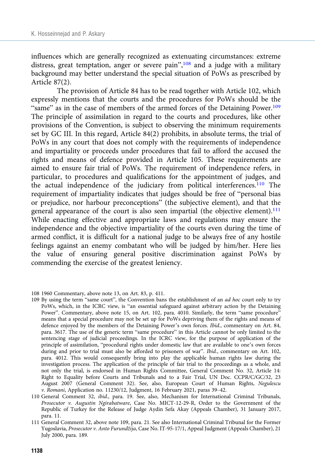influences which are generally recognized as extenuating circumstances: extreme distress, great temptation, anger or severe pain",<sup>108</sup> and a judge with a military background may better understand the special situation of PoWs as prescribed by Article 87(2).

The provision of Article 84 has to be read together with Article 102, which expressly mentions that the courts and the procedures for PoWs should be the "same" as in the case of members of the armed forces of the Detaining Power.<sup>109</sup> The principle of assimilation in regard to the courts and procedures, like other provisions of the Convention, is subject to observing the minimum requirements set by GC III. In this regard, Article 84(2) prohibits, in absolute terms, the trial of PoWs in any court that does not comply with the requirements of independence and impartiality or proceeds under procedures that fail to afford the accused the rights and means of defence provided in Article 105. These requirements are aimed to ensure fair trial of PoWs. The requirement of independence refers, in particular, to procedures and qualifications for the appointment of judges, and the actual independence of the judiciary from political interferences.110 The requirement of impartiality indicates that judges should be free of "personal bias or prejudice, nor harbour preconceptions" (the subjective element), and that the general appearance of the court is also seen impartial (the objective element).<sup>111</sup> While enacting effective and appropriate laws and regulations may ensure the independence and the objective impartiality of the courts even during the time of armed conflict, it is difficult for a national judge to be always free of any hostile feelings against an enemy combatant who will be judged by him/her. Here lies the value of ensuring general positive discrimination against PoWs by commending the exercise of the greatest leniency.

109 By using the term "same court", the Convention bans the establishment of an *ad hoc* court only to try PoWs, which, in the ICRC view, is "an essential safeguard against arbitrary action by the Detaining Power". Commentary, above note 15, on Art. 102, para. 4010. Similarly, the term "same procedure" means that a special procedure may not be set up for PoWs depriving them of the rights and means of defence enjoyed by the members of the Detaining Power's own forces. Ibid., commentary on Art. 84, para. 3617. The use of the generic term "same procedure" in this Article cannot be only limited to the sentencing stage of judicial proceedings. In the ICRC view, for the purpose of application of the principle of assimilation, "procedural rights under domestic law that are available to one's own forces during and prior to trial must also be afforded to prisoners of war". Ibid., commentary on Art. 102, para. 4012. This would consequently bring into play the applicable human rights law during the investigation process. The application of the principle of fair trial to the proceedings as a whole, and not only the trial, is endorsed in Human Rights Committee, General Comment No. 32, Article 14: Right to Equality before Courts and Tribunals and to a Fair Trial, UN Doc. CCPR/C/GC/32, 23 August 2007 (General Comment 32). See, also, European Court of Human Rights, Negulescu v. Romani, Application no. 11230/12, Judgment, 16 February 2021, paras 39–42.

<sup>108 1960</sup> Commentary, above note 13, on Art. 83, p. 411.

<sup>110</sup> General Comment 32, ibid., para. 19. See, also, Mechanism for International Criminal Tribunals, Prosecutor v. Augustin Ngirabatware, Case No. MICT-12-29-R, Order to the Government of the Republic of Turkey for the Release of Judge Aydin Sefa Akay (Appeals Chamber), 31 January 2017, para. 11.

<sup>111</sup> General Comment 32, above note 109, para. 21. See also International Criminal Tribunal for the Former Yugoslavia, Prosecutor v. Anto Furundžija, Case No. IT-95-17/1, Appeal Judgment (Appeals Chamber), 21 July 2000, para. 189.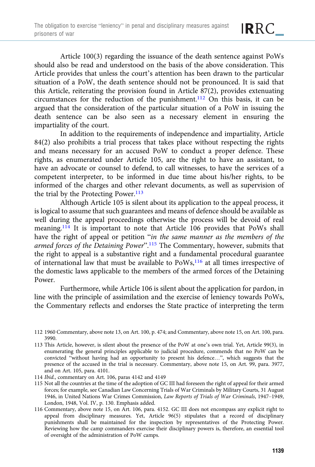Article 100(3) regarding the issuance of the death sentence against PoWs should also be read and understood on the basis of the above consideration. This Article provides that unless the court's attention has been drawn to the particular situation of a PoW, the death sentence should not be pronounced. It is said that this Article, reiterating the provision found in Article 87(2), provides extenuating circumstances for the reduction of the punishment.112 On this basis, it can be argued that the consideration of the particular situation of a PoW in issuing the death sentence can be also seen as a necessary element in ensuring the impartiality of the court.

In addition to the requirements of independence and impartiality, Article 84(2) also prohibits a trial process that takes place without respecting the rights and means necessary for an accused PoW to conduct a proper defence. These rights, as enumerated under Article 105, are the right to have an assistant, to have an advocate or counsel to defend, to call witnesses, to have the services of a competent interpreter, to be informed in due time about his/her rights, to be informed of the charges and other relevant documents, as well as supervision of the trial by the Protecting Power.<sup>113</sup>

Although Article 105 is silent about its application to the appeal process, it is logical to assume that such guarantees and means of defence should be available as well during the appeal proceedings otherwise the process will be devoid of real meaning.114 It is important to note that Article 106 provides that PoWs shall have the right of appeal or petition "in the same manner as the members of the armed forces of the Detaining Power".<sup>115</sup> The Commentary, however, submits that the right to appeal is a substantive right and a fundamental procedural guarantee of international law that must be available to PoWs,<sup>116</sup> at all times irrespective of the domestic laws applicable to the members of the armed forces of the Detaining Power.

Furthermore, while Article 106 is silent about the application for pardon, in line with the principle of assimilation and the exercise of leniency towards PoWs, the Commentary reflects and endorses the State practice of interpreting the term

<sup>112 1960</sup> Commentary, above note 13, on Art. 100, p. 474; and Commentary, above note 15, on Art. 100, para. 3990.

<sup>113</sup> This Article, however, is silent about the presence of the PoW at one's own trial. Yet, Article 99(3), in enumerating the general principles applicable to judicial procedure, commends that no PoW can be convicted "without having had an opportunity to present his defence…", which suggests that the presence of the accused in the trial is necessary. Commentary, above note 15, on Art. 99, para. 3977, and on Art. 105, para. 4101.

<sup>114</sup> Ibid., commentary on Art. 106, paras 4142 and 4149

<sup>115</sup> Not all the countries at the time of the adoption of GC III had foreseen the right of appeal for their armed forces; for example, see Canadian Law Concerning Trials of War Criminals by Military Courts, 31 August 1946, in United Nations War Crimes Commission, Law Reports of Trials of War Criminals, 1947–1949, London, 1948, Vol. IV, p. 130. Emphasis added.

<sup>116</sup> Commentary, above note 15, on Art. 106, para. 4152. GC III does not encompass any explicit right to appeal from disciplinary measures. Yet, Article 96(5) stipulates that a record of disciplinary punishments shall be maintained for the inspection by representatives of the Protecting Power. Reviewing how the camp commanders exercise their disciplinary powers is, therefore, an essential tool of oversight of the administration of PoW camps.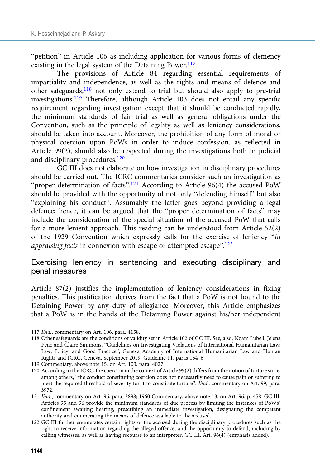"petition" in Article 106 as including application for various forms of clemency existing in the legal system of the Detaining Power.<sup>117</sup>

The provisions of Article 84 regarding essential requirements of impartiality and independence, as well as the rights and means of defence and other safeguards,<sup>118</sup> not only extend to trial but should also apply to pre-trial investigations.<sup>119</sup> Therefore, although Article 103 does not entail any specific requirement regarding investigation except that it should be conducted rapidly, the minimum standards of fair trial as well as general obligations under the Convention, such as the principle of legality as well as leniency considerations, should be taken into account. Moreover, the prohibition of any form of moral or physical coercion upon PoWs in order to induce confession, as reflected in Article 99(2), should also be respected during the investigations both in judicial and disciplinary procedures.<sup>120</sup>

GC III does not elaborate on how investigation in disciplinary procedures should be carried out. The ICRC commentaries consider such an investigation as "proper determination of facts".<sup>121</sup> According to Article 96(4) the accused PoW should be provided with the opportunity of not only "defending himself" but also "explaining his conduct". Assumably the latter goes beyond providing a legal defence; hence, it can be argued that the "proper determination of facts" may include the consideration of the special situation of the accused PoW that calls for a more lenient approach. This reading can be understood from Article 52(2) of the 1929 Convention which expressly calls for the exercise of leniency "in appraising facts in connexion with escape or attempted escape".<sup>122</sup>

# Exercising leniency in sentencing and executing disciplinary and penal measures

Article 87(2) justifies the implementation of leniency considerations in fixing penalties. This justification derives from the fact that a PoW is not bound to the Detaining Power by any duty of allegiance. Moreover, this Article emphasizes that a PoW is in the hands of the Detaining Power against his/her independent

<sup>117</sup> Ibid., commentary on Art. 106, para. 4158.

<sup>118</sup> Other safeguards are the conditions of validity set in Article 102 of GC III. See, also, Noam Lubell, Jelena Pejic and Claire Simmons, "Guidelines on Investigating Violations of International Humanitarian Law: Law, Policy, and Good Practice", Geneva Academy of International Humanitarian Law and Human Rights and ICRC, Geneva, September 2019, Guideline 11, paras 154–6.

<sup>119</sup> Commentary, above note 15, on Art. 103, para. 4027.

<sup>120</sup> According to the ICRC, the coercion in the context of Article 99(2) differs from the notion of torture since, among others, "the conduct constituting coercion does not necessarily need to cause pain or suffering to meet the required threshold of severity for it to constitute torture". Ibid., commentary on Art. 99, para. 3972.

<sup>121</sup> Ibid., commentary on Art. 96, para. 3898; 1960 Commentary, above note 13, on Art. 96, p. 458. GC III, Articles 95 and 96 provide the minimum standards of due process by limiting the instances of PoWs' confinement awaiting hearing, prescribing an immediate investigation, designating the competent authority and enumerating the means of defence available to the accused.

<sup>122</sup> GC III further enumerates certain rights of the accused during the disciplinary procedures such as the right to receive information regarding the alleged offence, and the opportunity to defend, including by calling witnesses, as well as having recourse to an interpreter. GC III, Art. 96(4) (emphasis added).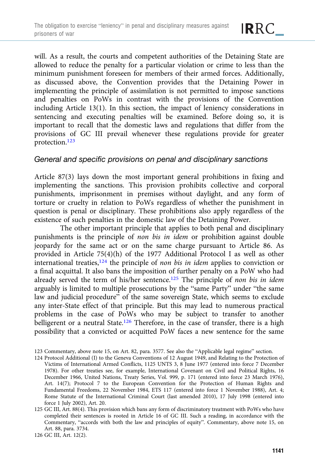will. As a result, the courts and competent authorities of the Detaining State are allowed to reduce the penalty for a particular violation or crime to less than the minimum punishment foreseen for members of their armed forces. Additionally, as discussed above, the Convention provides that the Detaining Power in implementing the principle of assimilation is not permitted to impose sanctions and penalties on PoWs in contrast with the provisions of the Convention including Article 13(1). In this section, the impact of leniency considerations in sentencing and executing penalties will be examined. Before doing so, it is important to recall that the domestic laws and regulations that differ from the provisions of GC III prevail whenever these regulations provide for greater protection.123

# General and specific provisions on penal and disciplinary sanctions

Article 87(3) lays down the most important general prohibitions in fixing and implementing the sanctions. This provision prohibits collective and corporal punishments, imprisonment in premises without daylight, and any form of torture or cruelty in relation to PoWs regardless of whether the punishment in question is penal or disciplinary. These prohibitions also apply regardless of the existence of such penalties in the domestic law of the Detaining Power.

The other important principle that applies to both penal and disciplinary punishments is the principle of non bis in idem or prohibition against double jeopardy for the same act or on the same charge pursuant to Article 86. As provided in Article 75(4)(h) of the 1977 Additional Protocol I as well as other international treaties, $124$  the principle of non bis in idem applies to conviction or a final acquittal. It also bans the imposition of further penalty on a PoW who had already served the term of his/her sentence.<sup>125</sup> The principle of non bis in idem arguably is limited to multiple prosecutions by the "same Party" under "the same law and judicial procedure" of the same sovereign State, which seems to exclude any inter-State effect of that principle. But this may lead to numerous practical problems in the case of PoWs who may be subject to transfer to another belligerent or a neutral State.<sup>126</sup> Therefore, in the case of transfer, there is a high possibility that a convicted or acquitted PoW faces a new sentence for the same

124 Protocol Additional (I) to the Geneva Conventions of 12 August 1949, and Relating to the Protection of Victims of International Armed Conflicts, 1125 UNTS 3, 8 June 1977 (entered into force 7 December 1978). For other treaties see, for example, International Covenant on Civil and Political Rights, 16 December 1966, United Nations, Treaty Series, Vol. 999, p. 171 (entered into force 23 March 1976), Art. 14(7); Protocol 7 to the European Convention for the Protection of Human Rights and Fundamental Freedoms, 22 November 1984, ETS 117 (entered into force 1 November 1988), Art. 4; Rome Statute of the International Criminal Court (last amended 2010), 17 July 1998 (entered into force 1 July 2002), Art. 20.

125 GC III, Art. 88(4). This provision which bans any form of discriminatory treatment with PoWs who have completed their sentences is rooted in Article 16 of GC III. Such a reading, in accordance with the Commentary, "accords with both the law and principles of equity". Commentary, above note 15, on Art. 88, para. 3734.

126 GC III, Art. 12(2).

<sup>123</sup> Commentary, above note 15, on Art. 82, para. 3577. See also the "Applicable legal regime" section.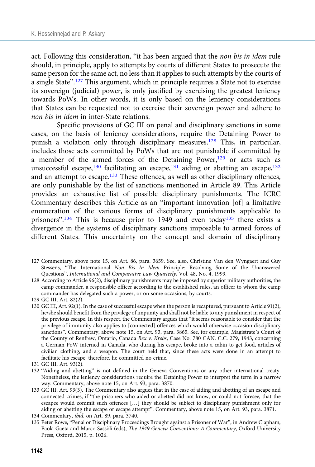act. Following this consideration, "it has been argued that the non bis in idem rule should, in principle, apply to attempts by courts of different States to prosecute the same person for the same act, no less than it applies to such attempts by the courts of a single State".<sup>127</sup> This argument, which in principle requires a State not to exercise its sovereign (judicial) power, is only justified by exercising the greatest leniency towards PoWs. In other words, it is only based on the leniency considerations that States can be requested not to exercise their sovereign power and adhere to non bis in idem in inter-State relations.

Specific provisions of GC III on penal and disciplinary sanctions in some cases, on the basis of leniency considerations, require the Detaining Power to punish a violation only through disciplinary measures.128 This, in particular, includes those acts committed by PoWs that are not punishable if committed by a member of the armed forces of the Detaining Power, $129$  or acts such as unsuccessful escape,<sup>130</sup> facilitating an escape,<sup>131</sup> aiding or abetting an escape,<sup>132</sup> and an attempt to escape.133 These offences, as well as other disciplinary offences, are only punishable by the list of sanctions mentioned in Article 89. This Article provides an exhaustive list of possible disciplinary punishments. The ICRC Commentary describes this Article as an "important innovation [of] a limitative enumeration of the various forms of disciplinary punishments applicable to prisoners".<sup>134</sup> This is because prior to 1949 and even today<sup>135</sup> there exists a divergence in the systems of disciplinary sanctions imposable to armed forces of different States. This uncertainty on the concept and domain of disciplinary

- 127 Commentary, above note 15, on Art. 86, para. 3659. See, also, Christine Van den Wyngaert and Guy Stessens, "The International Non Bis In Idem Principle: Resolving Some of the Unanswered Questions", International and Comparative Law Quarterly, Vol. 48, No. 4, 1999.
- 128 According to Article 96(2), disciplinary punishments may be imposed by superior military authorities, the camp commander, a responsible officer according to the established rules, an officer to whom the camp commander has delegated such a power, or on some occasions, by courts.

130 GC III, Art. 92(1). In the case of successful escape when the person is recaptured, pursuant to Article 91(2), he/she should benefit from the privilege of impunity and shall not be liable to any punishment in respect of the previous escape. In this respect, the Commentary argues that "it seems reasonable to consider that the privilege of immunity also applies to [connected] offences which would otherwise occasion disciplinary sanctions". Commentary, above note 15, on Art. 93, para. 3865. See, for example, Magistrate's Court of the County of Renfrew, Ontario, Canada Rex v. Krebs, Case No. 780 CAN. C.C. 279, 1943, concerning a German PoW interned in Canada, who during his escape, broke into a cabin to get food, articles of civilian clothing, and a weapon. The court held that, since these acts were done in an attempt to facilitate his escape, therefore, he committed no crime.

- 132 "Aiding and abetting" is not defined in the Geneva Conventions or any other international treaty. Nonetheless, the leniency considerations require the Detaining Power to interpret the term in a narrow way. Commentary, above note 15, on Art. 93, para. 3870.
- 133 GC III, Art. 93(3). The Commentary also argues that in the case of aiding and abetting of an escape and connected crimes, if "the prisoners who aided or abetted did not know, or could not foresee, that the escapee would commit such offences […] they should be subject to disciplinary punishment only for aiding or abetting the escape or escape attempt". Commentary, above note 15, on Art. 93, para. 3871.

135 Peter Rowe, "Penal or Disciplinary Proceedings Brought against a Prisoner of War", in Andrew Clapham, Paola Gaeta and Marco Sassòli (eds), The 1949 Geneva Conventions: A Commentary, Oxford University Press, Oxford, 2015, p. 1026.

<sup>129</sup> GC III, Art. 82(2).

<sup>131</sup> GC III, Art. 93(2).

<sup>134</sup> Commentary, ibid. on Art. 89, para. 3740.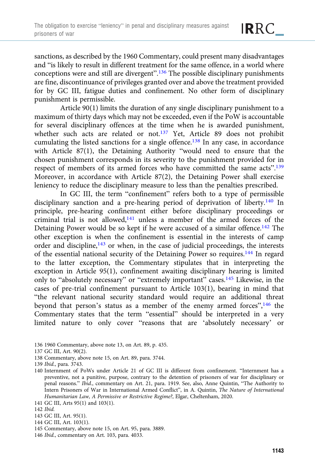sanctions, as described by the 1960 Commentary, could present many disadvantages and "is likely to result in different treatment for the same offence, in a world where conceptions were and still are divergent".<sup>136</sup> The possible disciplinary punishments are fine, discontinuance of privileges granted over and above the treatment provided for by GC III, fatigue duties and confinement. No other form of disciplinary punishment is permissible.

Article 90(1) limits the duration of any single disciplinary punishment to a maximum of thirty days which may not be exceeded, even if the PoW is accountable for several disciplinary offences at the time when he is awarded punishment, whether such acts are related or not.<sup>137</sup> Yet, Article 89 does not prohibit cumulating the listed sanctions for a single offence.<sup>138</sup> In any case, in accordance with Article 87(1), the Detaining Authority "would need to ensure that the chosen punishment corresponds in its severity to the punishment provided for in respect of members of its armed forces who have committed the same acts".<sup>139</sup> Moreover, in accordance with Article 87(2), the Detaining Power shall exercise leniency to reduce the disciplinary measure to less than the penalties prescribed.

In GC III, the term "confinement" refers both to a type of permissible disciplinary sanction and a pre-hearing period of deprivation of liberty.<sup>140</sup> In principle, pre-hearing confinement either before disciplinary proceedings or criminal trial is not allowed,141 unless a member of the armed forces of the Detaining Power would be so kept if he were accused of a similar offence.<sup>142</sup> The other exception is when the confinement is essential in the interests of camp order and discipline,<sup>143</sup> or when, in the case of judicial proceedings, the interests of the essential national security of the Detaining Power so requires.<sup>144</sup> In regard to the latter exception, the Commentary stipulates that in interpreting the exception in Article 95(1), confinement awaiting disciplinary hearing is limited only to "absolutely necessary" or "extremely important" cases.145 Likewise, in the cases of pre-trial confinement pursuant to Article  $103(1)$ , bearing in mind that "the relevant national security standard would require an additional threat beyond that person's status as a member of the enemy armed forces",<sup>146</sup> the Commentary states that the term "essential" should be interpreted in a very limited nature to only cover "reasons that are 'absolutely necessary' or

- 136 1960 Commentary, above note 13, on Art. 89, p. 435.
- 137 GC III, Art. 90(2).
- 138 Commentary, above note 15, on Art. 89, para. 3744.
- 139 Ibid., para. 3743.
- 140 Internment of PoWs under Article 21 of GC III is different from confinement. "Internment has a preventive, not a punitive, purpose, contrary to the detention of prisoners of war for disciplinary or penal reasons." Ibid., commentary on Art. 21, para. 1919. See, also, Anne Quintin, "The Authority to Intern Prisoners of War in International Armed Conflict", in A. Quintin, The Nature of International Humanitarian Law, A Permissive or Restrictive Regime?, Elgar, Cheltenham, 2020.
- 141 GC III, Arts 95(1) and 103(1).
- 142 Ibid.
- 143 GC III, Art. 95(1).
- 144 GC III, Art. 103(1).
- 145 Commentary, above note 15, on Art. 95, para. 3889.
- 146 Ibid., commentary on Art. 103, para. 4033.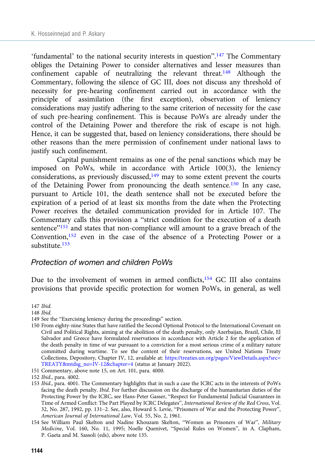'fundamental' to the national security interests in question".<sup>147</sup> The Commentary obliges the Detaining Power to consider alternatives and lesser measures than confinement capable of neutralizing the relevant threat.<sup>148</sup> Although the Commentary, following the silence of GC III, does not discuss any threshold of necessity for pre-hearing confinement carried out in accordance with the principle of assimilation (the first exception), observation of leniency considerations may justify adhering to the same criterion of necessity for the case of such pre-hearing confinement. This is because PoWs are already under the control of the Detaining Power and therefore the risk of escape is not high. Hence, it can be suggested that, based on leniency considerations, there should be other reasons than the mere permission of confinement under national laws to justify such confinement.

Capital punishment remains as one of the penal sanctions which may be imposed on PoWs, while in accordance with Article 100(3), the leniency considerations, as previously discussed, $149$  may to some extent prevent the courts of the Detaining Power from pronouncing the death sentence.150 In any case, pursuant to Article 101, the death sentence shall not be executed before the expiration of a period of at least six months from the date when the Protecting Power receives the detailed communication provided for in Article 107. The Commentary calls this provision a "strict condition for the execution of a death sentence"<sup>151</sup> and states that non-compliance will amount to a grave breach of the Convention,152 even in the case of the absence of a Protecting Power or a substitute.153

#### Protection of women and children PoWs

Due to the involvement of women in armed conflicts, $154$  GC III also contains provisions that provide specific protection for women PoWs, in general, as well

147 Ibid.

- 148 Ibid.
- 149 See the "Exercising leniency during the proceedings" section.
- 150 From eighty-nine States that have ratified the Second Optional Protocol to the International Covenant on Civil and Political Rights, aiming at the abolition of the death penalty, only Azerbaijan, Brazil, Chile, El Salvador and Greece have formulated reservations in accordance with Article 2 for the application of the death penalty in time of war pursuant to a conviction for a most serious crime of a military nature committed during wartime. To see the content of their reservations, see United Nations Treaty Collections, Depository, Chapter IV, 12, available at: [https://treaties.un.org/pages/ViewDetails.aspx?src=](https://treaties.un.org/pages/ViewDetails.aspx?src=TREATY&mtdsg_no=IV-12&chapter=4) [TREATY&mtdsg\\_no=IV-12&chapter=4](https://treaties.un.org/pages/ViewDetails.aspx?src=TREATY&mtdsg_no=IV-12&chapter=4) (status at January 2022).
- 151 Commentary, above note 15, on Art. 101, para. 4000.

<sup>152</sup> Ibid., para. 4002.

<sup>153</sup> Ibid., para. 4001. The Commentary highlights that in such a case the ICRC acts in the interests of PoWs facing the death penalty. Ibid. For further discussion on the discharge of the humanitarian duties of the Protecting Power by the ICRC, see Hans-Peter Gasser, "Respect for Fundamental Judicial Guarantees in Time of Armed Conflict: The Part Played by ICRC Delegates", International Review of the Red Cross, Vol. 32, No. 287, 1992, pp. 131–2. See, also, Howard S. Levie, "Prisoners of War and the Protecting Power", American Journal of International Law, Vol. 55, No. 2, 1961.

<sup>154</sup> See William Paul Skelton and Nadine Khouzam Skelton, "Women as Prisoners of War", Military Medicine, Vol. 160, No. 11, 1995; Noelle Quenivet, "Special Rules on Women", in A. Clapham, P. Gaeta and M. Sassoli (eds), above note 135.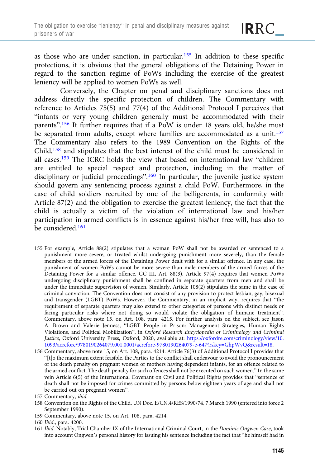as those who are under sanction, in particular.<sup>155</sup> In addition to these specific protections, it is obvious that the general obligations of the Detaining Power in regard to the sanction regime of PoWs including the exercise of the greatest leniency will be applied to women PoWs as well.

Conversely, the Chapter on penal and disciplinary sanctions does not address directly the specific protection of children. The Commentary with reference to Articles 75(5) and 77(4) of the Additional Protocol I perceives that "infants or very young children generally must be accommodated with their parents".<sup>156</sup> It further requires that if a PoW is under 18 years old, he/she must be separated from adults, except where families are accommodated as a unit.<sup>157</sup> The Commentary also refers to the 1989 Convention on the Rights of the Child,158 and stipulates that the best interest of the child must be considered in all cases.159 The ICRC holds the view that based on international law "children are entitled to special respect and protection, including in the matter of disciplinary or judicial proceedings".<sup>160</sup> In particular, the juvenile justice system should govern any sentencing process against a child PoW. Furthermore, in the case of child soldiers recruited by one of the belligerents, in conformity with Article 87(2) and the obligation to exercise the greatest leniency, the fact that the child is actually a victim of the violation of international law and his/her participation in armed conflicts is in essence against his/her free will, has also to be considered.<sup>161</sup>

- 155 For example, Article 88(2) stipulates that a woman PoW shall not be awarded or sentenced to a punishment more severe, or treated whilst undergoing punishment more severely, than the female members of the armed forces of the Detaining Power dealt with for a similar offence. In any case, the punishment of women PoWs cannot be more severe than male members of the armed forces of the Detaining Power for a similar offence. GC III, Art. 88(3). Article 97(4) requires that women PoWs undergoing disciplinary punishment shall be confined in separate quarters from men and shall be under the immediate supervision of women. Similarly, Article 108(2) stipulates the same in the case of criminal conviction. The Convention does not consist of any provision to protect lesbian, gay, bisexual and transgender (LGBT) PoWs. However, the Commentary, in an implicit way, requires that "the requirement of separate quarters may also extend to other categories of persons with distinct needs or facing particular risks where not doing so would violate the obligation of humane treatment". Commentary, above note 15, on Art. 108, para. 4215. For further analysis on the subject, see Jason A. Brown and Valerie Jenness, "LGBT People in Prison: Management Strategies, Human Rights Violations, and Political Mobilization", in Oxford Research Encyclopedia of Criminology and Criminal Justice, Oxford University Press, Oxford, 2020, available at: [https://oxfordre.com/criminology/view/10.](https://oxfordre.com/criminology/view/10.1093/acrefore/9780190264079.001.0001/acrefore-9780190264079-e-647?rskey=GhpWvQ&result=18) [1093/acrefore/9780190264079.001.0001/acrefore-9780190264079-e-647?rskey=GhpWvQ&result=18](https://oxfordre.com/criminology/view/10.1093/acrefore/9780190264079.001.0001/acrefore-9780190264079-e-647?rskey=GhpWvQ&result=18).
- 156 Commentary, above note 15, on Art. 108, para. 4214. Article 76(3) of Additional Protocol I provides that "[t]o the maximum extent feasible, the Parties to the conflict shall endeavour to avoid the pronouncement of the death penalty on pregnant women or mothers having dependent infants, for an offence related to the armed conflict. The death penalty for such offences shall not be executed on such women." In the same vein Article 6(5) of the International Covenant on Civil and Political Rights provides that "sentence of death shall not be imposed for crimes committed by persons below eighteen years of age and shall not be carried out on pregnant women".
- 157 Commentary, ibid.
- 158 Convention on the Rights of the Child, UN Doc. E/CN.4/RES/1990/74, 7 March 1990 (entered into force 2 September 1990).
- 159 Commentary, above note 15, on Art. 108, para. 4214.
- 160 Ibid., para. 4200.
- 161 Ibid. Notably, Trial Chamber IX of the International Criminal Court, in the Dominic Ongwen Case, took into account Ongwen's personal history for issuing his sentence including the fact that "he himself had in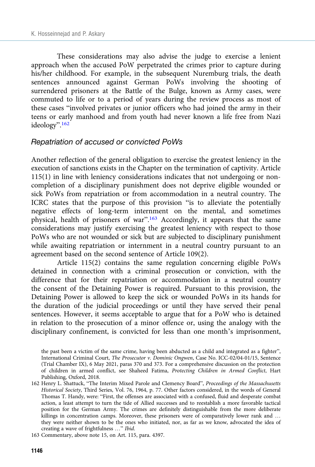These considerations may also advise the judge to exercise a lenient approach when the accused PoW perpetrated the crimes prior to capture during his/her childhood. For example, in the subsequent Nuremburg trials, the death sentences announced against German PoWs involving the shooting of surrendered prisoners at the Battle of the Bulge, known as Army cases, were commuted to life or to a period of years during the review process as most of these cases "involved privates or junior officers who had joined the army in their teens or early manhood and from youth had never known a life free from Nazi ideology". 162

#### Repatriation of accused or convicted PoWs

Another reflection of the general obligation to exercise the greatest leniency in the execution of sanctions exists in the Chapter on the termination of captivity. Article 115(1) in line with leniency considerations indicates that not undergoing or noncompletion of a disciplinary punishment does not deprive eligible wounded or sick PoWs from repatriation or from accommodation in a neutral country. The ICRC states that the purpose of this provision "is to alleviate the potentially negative effects of long-term internment on the mental, and sometimes physical, health of prisoners of war".<sup>163</sup> Accordingly, it appears that the same considerations may justify exercising the greatest leniency with respect to those PoWs who are not wounded or sick but are subjected to disciplinary punishment while awaiting repatriation or internment in a neutral country pursuant to an agreement based on the second sentence of Article 109(2).

Article 115(2) contains the same regulation concerning eligible PoWs detained in connection with a criminal prosecution or conviction, with the difference that for their repatriation or accommodation in a neutral country the consent of the Detaining Power is required. Pursuant to this provision, the Detaining Power is allowed to keep the sick or wounded PoWs in its hands for the duration of the judicial proceedings or until they have served their penal sentences. However, it seems acceptable to argue that for a PoW who is detained in relation to the prosecution of a minor offence or, using the analogy with the disciplinary confinement, is convicted for less than one month's imprisonment,

the past been a victim of the same crime, having been abducted as a child and integrated as a fighter", International Criminal Court, The Prosecutor v. Dominic Ongwen, Case No. ICC-02/04-01/15, Sentence (Trial Chamber IX), 6 May 2021, paras 370 and 373. For a comprehensive discussion on the protection of children in armed conflict, see Shaheed Fatima, Protecting Children in Armed Conflict, Hart Publishing, Oxford, 2018.

<sup>162</sup> Henry L. Shattuck, "The Interim Mixed Parole and Clemency Board", Proceedings of the Massachusetts Historical Society, Third Series, Vol. 76, 1964, p. 77. Other factors considered, in the words of General Thomas T. Handy, were: "First, the offenses are associated with a confused, fluid and desperate combat action, a least attempt to turn the tide of Allied successes and to reestablish a more favorable tactical position for the German Army. The crimes are definitely distinguishable from the more deliberate killings in concentration camps. Moreover, these prisoners were of comparatively lower rank and … they were neither shown to be the ones who initiated, nor, as far as we know, advocated the idea of creating a wave of frightfulness …" Ibid.

<sup>163</sup> Commentary, above note 15, on Art. 115, para. 4397.